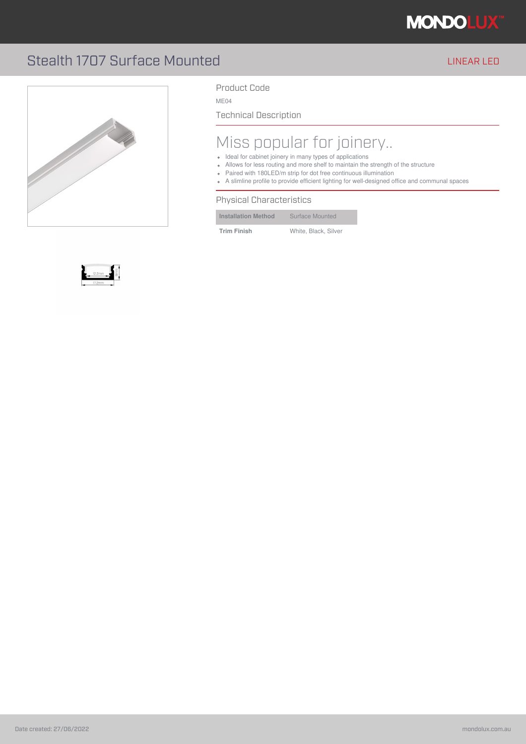

### Stealth 1707 Surface Mounted LINEAR LED AND THE LINEAR LED





Product Code

ME04

Technical Description

### Miss popular for joinery..

- Ideal for cabinet joinery in many types of applications
- Allows for less routing and more shelf to maintain the strength of the structure
- Paired with 180LED/m strip for dot free continuous illumination
- A slimline profile to provide efficient lighting for well-designed office and communal spaces

#### Physical Characteristics

| <b>Installation Method</b> | Surface Mounted      |
|----------------------------|----------------------|
| <b>Trim Finish</b>         | White, Black, Silver |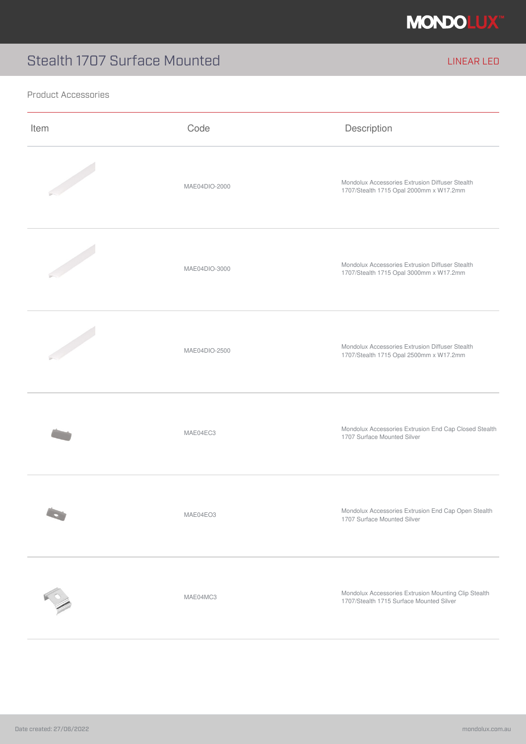

## Stealth 1707 Surface Mounted

Product Accessories

| LINEAR LED |  |  |  |  |
|------------|--|--|--|--|
|            |  |  |  |  |
|            |  |  |  |  |

| Item | Code          | Description                                                                                      |
|------|---------------|--------------------------------------------------------------------------------------------------|
|      | MAE04DIO-2000 | Mondolux Accessories Extrusion Diffuser Stealth<br>1707/Stealth 1715 Opal 2000mm x W17.2mm       |
|      | MAE04DIO-3000 | Mondolux Accessories Extrusion Diffuser Stealth<br>1707/Stealth 1715 Opal 3000mm x W17.2mm       |
|      | MAE04DIO-2500 | Mondolux Accessories Extrusion Diffuser Stealth<br>1707/Stealth 1715 Opal 2500mm x W17.2mm       |
|      | MAE04EC3      | Mondolux Accessories Extrusion End Cap Closed Stealth<br>1707 Surface Mounted Silver             |
|      | MAE04EO3      | Mondolux Accessories Extrusion End Cap Open Stealth<br>1707 Surface Mounted Silver               |
|      | MAE04MC3      | Mondolux Accessories Extrusion Mounting Clip Stealth<br>1707/Stealth 1715 Surface Mounted Silver |